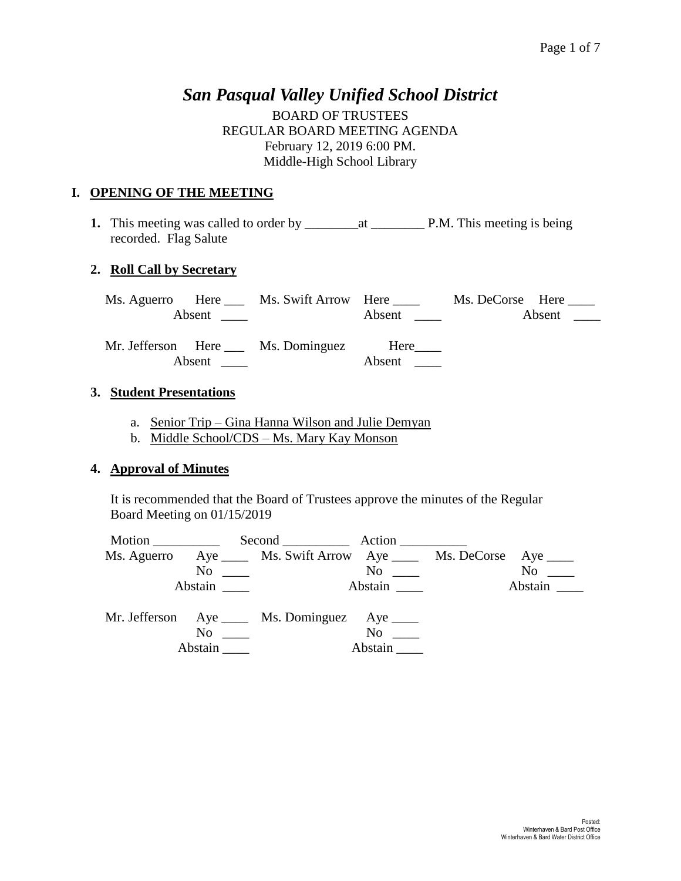## *San Pasqual Valley Unified School District*

BOARD OF TRUSTEES REGULAR BOARD MEETING AGENDA February 12, 2019 6:00 PM. Middle-High School Library

## **I. OPENING OF THE MEETING**

**1.** This meeting was called to order by \_\_\_\_\_\_\_\_at \_\_\_\_\_\_\_\_ P.M. This meeting is being recorded. Flag Salute

### **2. Roll Call by Secretary**

| Ms. Aguerro |        | Here Ms. Swift Arrow Here        |        | Ms. DeCorse Here |
|-------------|--------|----------------------------------|--------|------------------|
|             |        |                                  | Absent | Absent           |
|             |        | Mr. Jefferson Here Ms. Dominguez | Here   |                  |
|             | Absent |                                  | Absent |                  |

### **3. Student Presentations**

- a. Senior Trip Gina Hanna Wilson and Julie Demyan
- b. Middle School/CDS Ms. Mary Kay Monson

#### **4. Approval of Minutes**

It is recommended that the Board of Trustees approve the minutes of the Regular Board Meeting on 01/15/2019

| Motion                 |                                                                                                                                                                                                                               |                                                                                                                                                                                                                    |
|------------------------|-------------------------------------------------------------------------------------------------------------------------------------------------------------------------------------------------------------------------------|--------------------------------------------------------------------------------------------------------------------------------------------------------------------------------------------------------------------|
|                        |                                                                                                                                                                                                                               |                                                                                                                                                                                                                    |
| $\overline{\text{No}}$ |                                                                                                                                                                                                                               | $No \_\_$                                                                                                                                                                                                          |
| Abstain                |                                                                                                                                                                                                                               | Abstain                                                                                                                                                                                                            |
|                        |                                                                                                                                                                                                                               |                                                                                                                                                                                                                    |
| Abstain                |                                                                                                                                                                                                                               |                                                                                                                                                                                                                    |
|                        | No new contract the set of the set of the set of the set of the set of the set of the set of the set of the set of the set of the set of the set of the set of the set of the set of the set of the set of the set of the set | Second Action<br>Ms. Aguerro Aye ______ Ms. Swift Arrow Aye ______ Ms. DeCorse Aye _____<br>$\overline{N}$ o $\overline{\phantom{nnn}}$<br>Mr. Jefferson Aye _____ Ms. Dominguez Aye _____<br>$No \t —$<br>Abstain |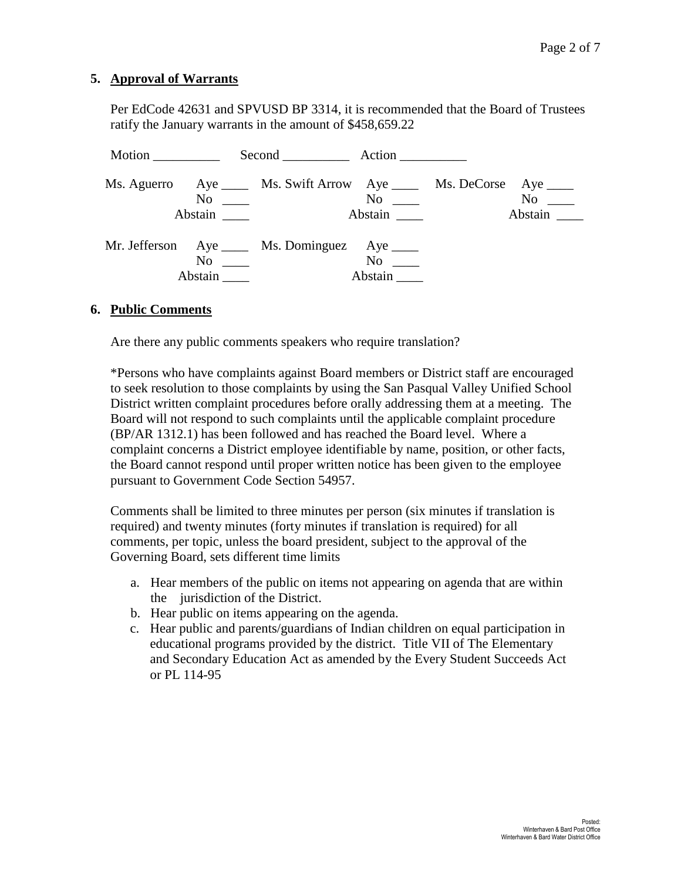## **5. Approval of Warrants**

Per EdCode 42631 and SPVUSD BP 3314, it is recommended that the Board of Trustees ratify the January warrants in the amount of \$458,659.22

| Motion |                                 | Second Action                                                                                                   |                    |                      |
|--------|---------------------------------|-----------------------------------------------------------------------------------------------------------------|--------------------|----------------------|
|        | Abstain                         | Ms. Aguerro Aye _____ Ms. Swift Arrow Aye _____ Ms. DeCorse Aye ____<br>$\overline{N}$ $\overline{\phantom{N}}$ | $No \ \_$          | $No \ \_$<br>Abstain |
|        | $\mathrm{No}$ $\_\_$<br>Abstain | Mr. Jefferson Aye ____ Ms. Dominguez Aye ____                                                                   | $No \_$<br>Abstain |                      |

#### **6. Public Comments**

Are there any public comments speakers who require translation?

\*Persons who have complaints against Board members or District staff are encouraged to seek resolution to those complaints by using the San Pasqual Valley Unified School District written complaint procedures before orally addressing them at a meeting. The Board will not respond to such complaints until the applicable complaint procedure (BP/AR 1312.1) has been followed and has reached the Board level. Where a complaint concerns a District employee identifiable by name, position, or other facts, the Board cannot respond until proper written notice has been given to the employee pursuant to Government Code Section 54957.

Comments shall be limited to three minutes per person (six minutes if translation is required) and twenty minutes (forty minutes if translation is required) for all comments, per topic, unless the board president, subject to the approval of the Governing Board, sets different time limits

- a. Hear members of the public on items not appearing on agenda that are within the jurisdiction of the District.
- b. Hear public on items appearing on the agenda.
- c. Hear public and parents/guardians of Indian children on equal participation in educational programs provided by the district. Title VII of The Elementary and Secondary Education Act as amended by the Every Student Succeeds Act or PL 114-95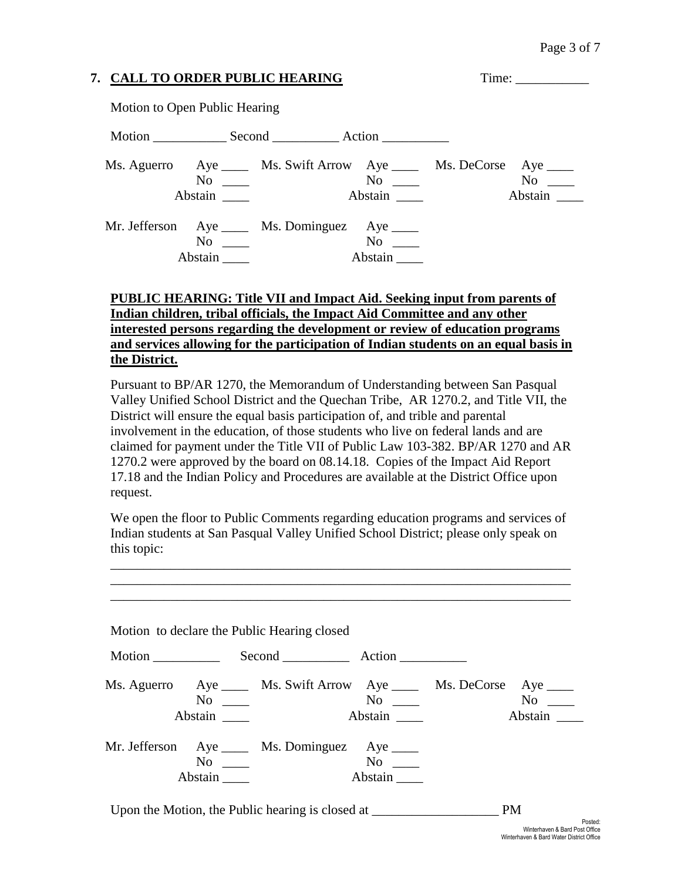# **7. CALL TO ORDER PUBLIC HEARING** Time: \_\_\_\_\_\_\_\_\_\_\_

Motion to Open Public Hearing

|               | Motion Second Action                                                                           |                   |                                                |                      |
|---------------|------------------------------------------------------------------------------------------------|-------------------|------------------------------------------------|----------------------|
| Abstain       | Ms. Aguerro Aye _____ Ms. Swift Arrow Aye _____ Ms. DeCorse Aye ____<br>$\overline{\text{No}}$ |                   | $\overline{\text{No}}$ $\overline{\phantom{}}$ | $No \ \_$<br>Abstain |
| No<br>Abstain | Mr. Jefferson Aye _____ Ms. Dominguez Aye _____                                                | No not<br>Abstain |                                                |                      |

## **PUBLIC HEARING: Title VII and Impact Aid. Seeking input from parents of Indian children, tribal officials, the Impact Aid Committee and any other interested persons regarding the development or review of education programs and services allowing for the participation of Indian students on an equal basis in the District.**

Pursuant to BP/AR 1270, the Memorandum of Understanding between San Pasqual Valley Unified School District and the Quechan Tribe, AR 1270.2, and Title VII, the District will ensure the equal basis participation of, and trible and parental involvement in the education, of those students who live on federal lands and are claimed for payment under the Title VII of Public Law 103-382. BP/AR 1270 and AR 1270.2 were approved by the board on 08.14.18. Copies of the Impact Aid Report 17.18 and the Indian Policy and Procedures are available at the District Office upon request.

We open the floor to Public Comments regarding education programs and services of Indian students at San Pasqual Valley Unified School District; please only speak on this topic:

\_\_\_\_\_\_\_\_\_\_\_\_\_\_\_\_\_\_\_\_\_\_\_\_\_\_\_\_\_\_\_\_\_\_\_\_\_\_\_\_\_\_\_\_\_\_\_\_\_\_\_\_\_\_\_\_\_\_\_\_\_\_\_\_\_\_\_\_\_ \_\_\_\_\_\_\_\_\_\_\_\_\_\_\_\_\_\_\_\_\_\_\_\_\_\_\_\_\_\_\_\_\_\_\_\_\_\_\_\_\_\_\_\_\_\_\_\_\_\_\_\_\_\_\_\_\_\_\_\_\_\_\_\_\_\_\_\_\_ \_\_\_\_\_\_\_\_\_\_\_\_\_\_\_\_\_\_\_\_\_\_\_\_\_\_\_\_\_\_\_\_\_\_\_\_\_\_\_\_\_\_\_\_\_\_\_\_\_\_\_\_\_\_\_\_\_\_\_\_\_\_\_\_\_\_\_\_\_

|               |         | Motion to declare the Public Hearing closed                                                                       |                     |                                             |                    |  |
|---------------|---------|-------------------------------------------------------------------------------------------------------------------|---------------------|---------------------------------------------|--------------------|--|
| Motion $\_\_$ |         |                                                                                                                   |                     |                                             |                    |  |
|               | Abstain | Ms. Aguerro Aye _____ Ms. Swift Arrow Aye _____ Ms. DeCorse Aye ____<br>$\overline{N}$ o $\overline{\phantom{0}}$ | Abstain             | $\overline{N}$ o $\overline{\phantom{nnn}}$ | No note<br>Abstain |  |
|               | Abstain | Mr. Jefferson Aye _____ Ms. Dominguez Aye _____<br>$\overline{\text{No}}$                                         | $\rm No$<br>Abstain |                                             |                    |  |

Upon the Motion, the Public hearing is closed at \_\_\_\_\_\_\_\_\_\_\_\_\_\_\_\_\_\_\_\_\_\_\_\_\_ PM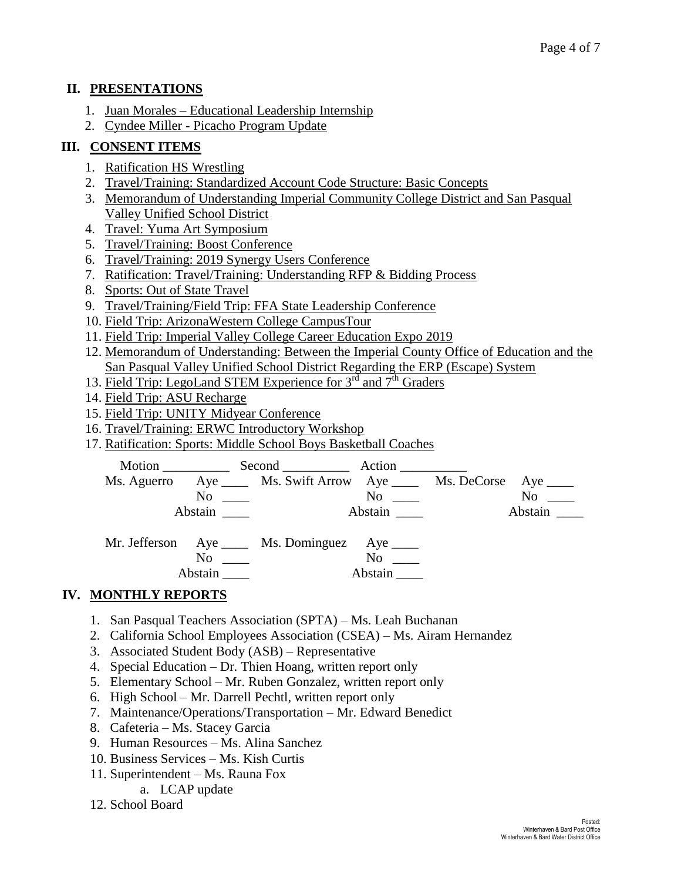## **II. PRESENTATIONS**

- 1. Juan Morales Educational Leadership Internship
- 2. Cyndee Miller Picacho Program Update

## **III. CONSENT ITEMS**

- 1. Ratification HS Wrestling
- 2. Travel/Training: Standardized Account Code Structure: Basic Concepts
- 3. Memorandum of Understanding Imperial Community College District and San Pasqual Valley Unified School District
- 4. Travel: Yuma Art Symposium
- 5. Travel/Training: Boost Conference
- 6. Travel/Training: 2019 Synergy Users Conference
- 7. Ratification: Travel/Training: Understanding RFP & Bidding Process
- 8. Sports: Out of State Travel
- 9. Travel/Training/Field Trip: FFA State Leadership Conference
- 10. Field Trip: ArizonaWestern College CampusTour
- 11. Field Trip: Imperial Valley College Career Education Expo 2019
- 12. Memorandum of Understanding: Between the Imperial County Office of Education and the San Pasqual Valley Unified School District Regarding the ERP (Escape) System
- 13. Field Trip: LegoLand STEM Experience for 3<sup>rd</sup> and 7<sup>th</sup> Graders
- 14. Field Trip: ASU Recharge
- 15. Field Trip: UNITY Midyear Conference
- 16. Travel/Training: ERWC Introductory Workshop
- 17. Ratification: Sports: Middle School Boys Basketball Coaches

|                                             | Ms. Aguerro Aye ______ Ms. Swift Arrow Aye ______ Ms. DeCorse Aye _____ |          |           |
|---------------------------------------------|-------------------------------------------------------------------------|----------|-----------|
|                                             | $\overline{\text{No}}$ $\overline{\text{}}$                             |          | $No \ \_$ |
| Abstain                                     |                                                                         | Abstain  | Abstain   |
|                                             |                                                                         |          |           |
|                                             | Mr. Jefferson Aye _____ Ms. Dominguez Aye _____                         |          |           |
| $\overline{N}$ o $\overline{\phantom{nnn}}$ |                                                                         | $\rm No$ |           |
|                                             |                                                                         | Abstain  |           |

## **IV. MONTHLY REPORTS**

- 1. San Pasqual Teachers Association (SPTA) Ms. Leah Buchanan
- 2. California School Employees Association (CSEA) Ms. Airam Hernandez
- 3. Associated Student Body (ASB) Representative
- 4. Special Education Dr. Thien Hoang, written report only
- 5. Elementary School Mr. Ruben Gonzalez, written report only
- 6. High School Mr. Darrell Pechtl, written report only
- 7. Maintenance/Operations/Transportation Mr. Edward Benedict
- 8. Cafeteria Ms. Stacey Garcia
- 9. Human Resources Ms. Alina Sanchez
- 10. Business Services Ms. Kish Curtis
- 11. Superintendent Ms. Rauna Fox
	- a. LCAP update
- 12. School Board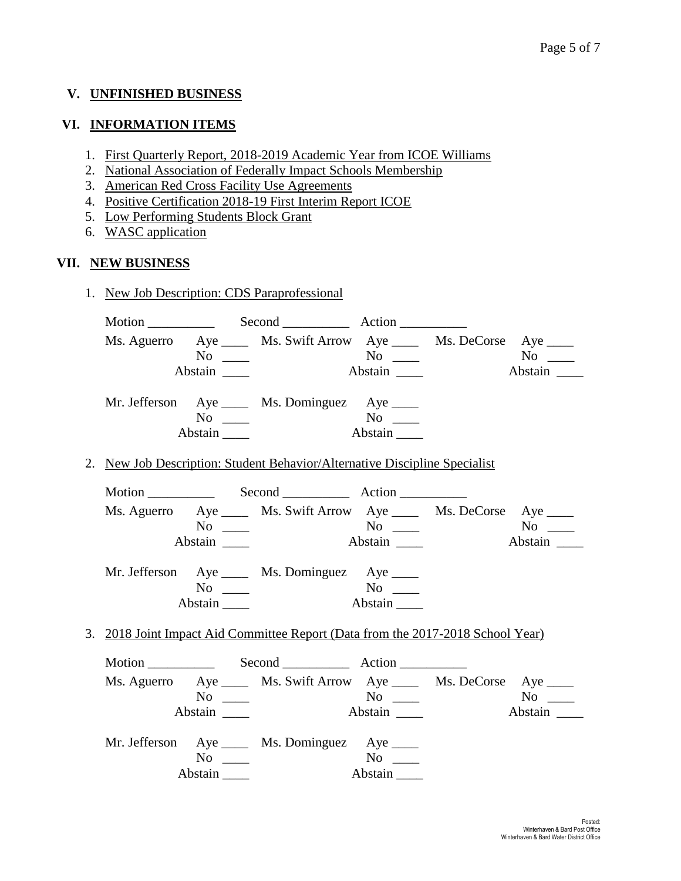## **V. UNFINISHED BUSINESS**

## **VI. INFORMATION ITEMS**

- 1. First Quarterly Report, 2018-2019 Academic Year from ICOE Williams
- 2. National Association of Federally Impact Schools Membership
- 3. American Red Cross Facility Use Agreements
- 4. Positive Certification 2018-19 First Interim Report ICOE
- 5. Low Performing Students Block Grant
- 6. WASC application

## **VII. NEW BUSINESS**

1. New Job Description: CDS Paraprofessional

|  |           | Ms. Aguerro Aye _____ Ms. Swift Arrow Aye _____ Ms. DeCorse Aye ____            |         |           |
|--|-----------|---------------------------------------------------------------------------------|---------|-----------|
|  | $No \ \_$ | $N$ <sup>0</sup> —                                                              |         |           |
|  |           |                                                                                 | Abstain | Abstain   |
|  |           | Mr. Jefferson Aye _____ Ms. Dominguez Aye _____                                 |         |           |
|  | $No \t —$ | $\overline{\text{No}}$ $\overline{\phantom{0}}$                                 |         |           |
|  | Abstain   |                                                                                 | Abstain |           |
|  |           | 2. New Job Description: Student Behavior/Alternative Discipline Specialist      |         |           |
|  |           |                                                                                 |         |           |
|  |           | Ms. Aguerro Aye _____ Ms. Swift Arrow Aye _____ Ms. DeCorse Aye ____            |         |           |
|  | $No \ \_$ |                                                                                 |         | $No \_\_$ |
|  |           |                                                                                 |         |           |
|  |           |                                                                                 |         |           |
|  |           | Mr. Jefferson Aye _____ Ms. Dominguez Aye ____                                  |         |           |
|  | $No \ \_$ |                                                                                 | $N$ o   |           |
|  | Abstain   |                                                                                 | Abstain |           |
|  |           | 3. 2018 Joint Impact Aid Committee Report (Data from the 2017-2018 School Year) |         |           |
|  |           |                                                                                 |         |           |
|  |           | Ms. Aguerro Aye ______ Ms. Swift Arrow Aye ______ Ms. DeCorse Aye _____         |         |           |
|  | $No \ \_$ |                                                                                 |         | $No \_$   |
|  |           |                                                                                 |         | Abstain   |
|  |           |                                                                                 |         |           |

| Mr. Jefferson Aye |         | Ms. Dominguez $Aye$ <sub>____</sub> |         |
|-------------------|---------|-------------------------------------|---------|
|                   | Nο      |                                     | No      |
|                   | Abstain |                                     | Abstain |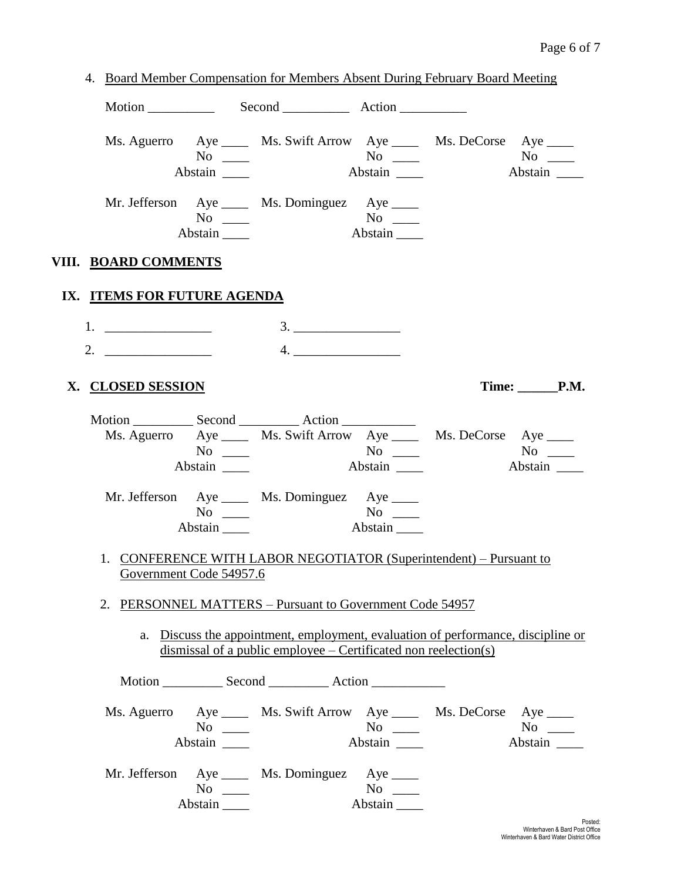|                             |                                         |                                                                   |                              | 4. Board Member Compensation for Members Absent During February Board Meeting    |                      |
|-----------------------------|-----------------------------------------|-------------------------------------------------------------------|------------------------------|----------------------------------------------------------------------------------|----------------------|
|                             |                                         |                                                                   |                              |                                                                                  |                      |
|                             | $No \_$<br>Abstain _______              |                                                                   | Abstain $\frac{1}{\sqrt{2}}$ | Ms. Aguerro Aye _____ Ms. Swift Arrow Aye _____ Ms. DeCorse Aye _____            | $No \t —$<br>Abstain |
|                             | $No \ \_$<br>Abstain                    | Mr. Jefferson Aye _____ Ms. Dominguez Aye _____                   | Abstain                      |                                                                                  |                      |
| VIII. <u>BOARD COMMENTS</u> |                                         |                                                                   |                              |                                                                                  |                      |
|                             | IX. ITEMS FOR FUTURE AGENDA             |                                                                   |                              |                                                                                  |                      |
|                             |                                         |                                                                   | 3.                           |                                                                                  |                      |
| X. CLOSED SESSION           |                                         |                                                                   |                              |                                                                                  | Time: P.M.           |
|                             | $No \_$<br>Abstain                      |                                                                   |                              | Ms. Aguerro Aye ______ Ms. Swift Arrow Aye ______ Ms. DeCorse Aye _____          | $No \t —$<br>Abstain |
|                             | $No \ \_$<br>$Abstain$ <sub>_____</sub> | Mr. Jefferson Aye _____ Ms. Dominguez Aye _____                   | $No \ \_$<br>Abstain         |                                                                                  |                      |
|                             | Government Code 54957.6                 |                                                                   |                              | 1. CONFERENCE WITH LABOR NEGOTIATOR (Superintendent) – Pursuant to               |                      |
|                             |                                         | 2. PERSONNEL MATTERS - Pursuant to Government Code 54957          |                              |                                                                                  |                      |
|                             |                                         | dismissal of a public employee $-$ Certificated non reelection(s) |                              | a. Discuss the appointment, employment, evaluation of performance, discipline or |                      |
|                             |                                         |                                                                   |                              |                                                                                  |                      |
|                             | $No \ \_$<br>Abstain                    |                                                                   | Abstain                      | Ms. Aguerro Aye _____ Ms. Swift Arrow Aye _____ Ms. DeCorse Aye ____             | $No \ \_$<br>Abstain |
|                             | $No \ \_$<br>Abstain                    | Mr. Jefferson Aye _____ Ms. Dominguez Aye _____                   | Abstain                      |                                                                                  |                      |